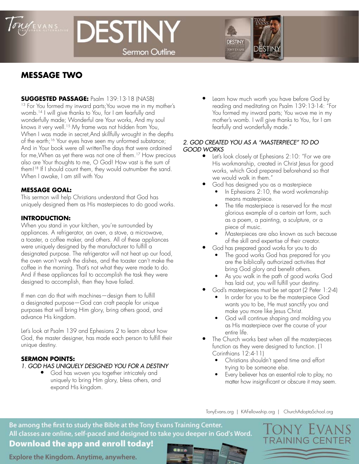

# DESTINY **Sermon Outline**



## **MESSAGE TWO**

**SUGGESTED PASSAGE:** Psalm 139:13-18 (NASB)

<sup>13</sup> For You formed my inward parts; You wove me in my mother's womb.14 I will give thanks to You, for I am fearfully and wonderfully made; Wonderful are Your works, And my soul knows it very well.<sup>15</sup> My frame was not hidden from You, When I was made in secret,And skillfully wrought in the depths of the earth;16 Your eyes have seen my unformed substance; And in Your book were all writtenThe days that were ordained for me,When as yet there was not one of them.17 How precious also are Your thoughts to me, O God! How vast is the sum of them!18 If I should count them, they would outnumber the sand. When I awake, I am still with You

## **MESSAGE GOAL:**

This sermon will help Christians understand that God has uniquely designed them as His masterpieces to do good works.

## **INTRODUCTION:**

When you stand in your kitchen, you're surrounded by appliances. A refrigerator, an oven, a stove, a microwave, a toaster, a coffee maker, and others. All of these appliances were uniquely designed by the manufacturer to fulfill a designated purpose. The refrigerator will not heat up our food, the oven won't wash the dishes, and the toaster can't make the coffee in the morning. That's not what they were made to do. And if these appliances fail to accomplish the task they were designed to accomplish, then they have failed.

If men can do that with machines—design them to fulfill a designated purpose—God can craft people for unique purposes that will bring Him glory, bring others good, and advance His kingdom.

Let's look at Psalm 139 and Ephesians 2 to learn about how God, the master designer, has made each person to fulfill their unique destiny.

## **SERMON POINTS:**

## *1. GOD HAS UNIQUELY DESIGNED YOU FOR A DESTINY*

• God has woven you together intricately and uniquely to bring Him glory, bless others, and expand His kingdom.

• Learn how much worth you have before God by reading and meditating on Psalm 139:13-14: "For You formed my inward parts; You wove me in my mother's womb. I will give thanks to You, for I am fearfully and wonderfully made."

#### *2. GOD CREATED YOU AS A "MASTERPIECE" TO DO GOOD WORKS*

- Let's look closely at Ephesians 2:10: "For we are His workmanship, created in Christ Jesus for good works, which God prepared beforehand so that we would walk in them."
- God has designed you as a masterpiece
	- In Ephesians 2:10, the word workmanship means masterpiece.
	- The title masterpiece is reserved for the most glorious example of a certain art form, such as a poem, a painting, a sculpture, or a piece of music.
	- Masterpieces are also known as such because of the skill and expertise of their creator.
	- God has prepared good works for you to do
		- The good works God has prepared for you are the biblically authorized activities that bring God glory and benefit others.
		- As you walk in the path of good works God has laid out, you will fulfill your destiny.
- God's masterpieces must be set apart (2 Peter 1:2-4)
	- In order for you to be the masterpiece God wants you to be, He must sanctify you and make you more like Jesus Christ.
	- God will continue shaping and molding you as His masterpiece over the course of your entire life.
- The Church works best when all the masterpieces function as they were designed to function. (1 Corinthians 12:4-11)
	- Christians shouldn't spend time and effort trying to be someone else.
	- Every believer has an essential role to play, no matter how insignificant or obscure it may seem.

TonyEvans.org | KAFellowship.org | ChurchAdoptaSchool.org

Be among the first to study the Bible at the Tony Evans Training Center. All classes are online, self-paced and designed to take you deeper in God's Word.

## **Download the app and enroll today!**

Explore the Kingdom. Anytime, anywhere.